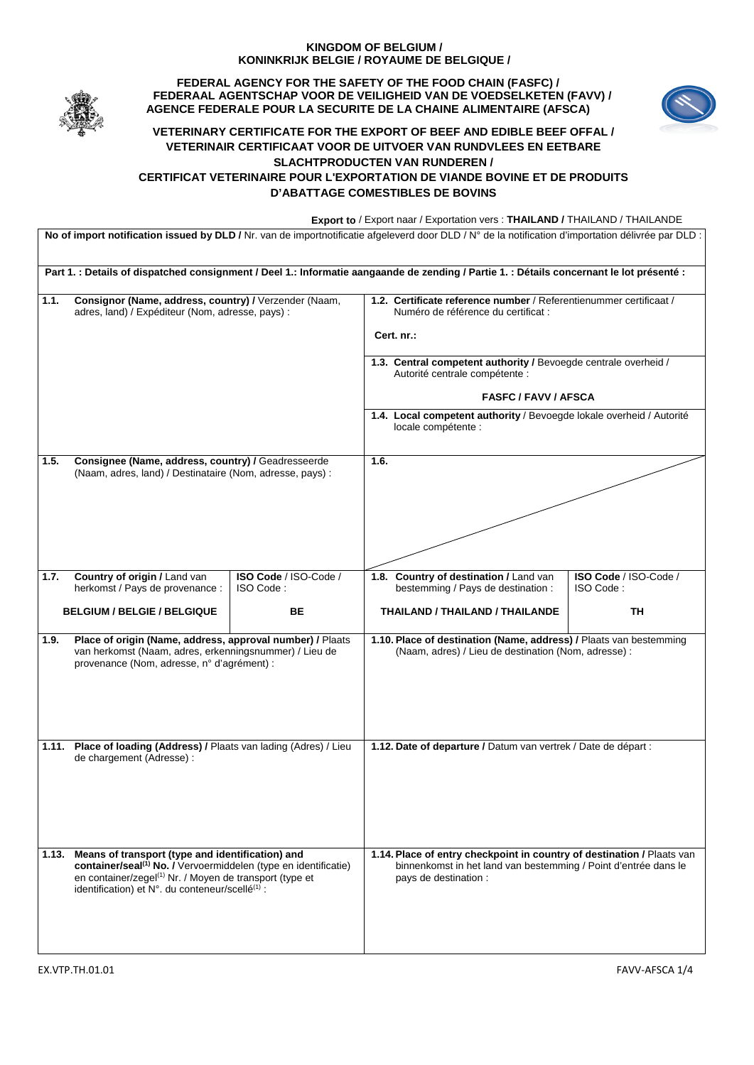## **KINGDOM OF BELGIUM / KONINKRIJK BELGIE / ROYAUME DE BELGIQUE /**



**FEDERAL AGENCY FOR THE SAFETY OF THE FOOD CHAIN (FASFC) / FEDERAAL AGENTSCHAP VOOR DE VEILIGHEID VAN DE VOEDSELKETEN (FAVV) / AGENCE FEDERALE POUR LA SECURITE DE LA CHAINE ALIMENTAIRE (AFSCA)** 



## **VETERINARY CERTIFICATE FOR THE EXPORT OF BEEF AND EDIBLE BEEF OFFAL / VETERINAIR CERTIFICAAT VOOR DE UITVOER VAN RUNDVLEES EN EETBARE SLACHTPRODUCTEN VAN RUNDEREN / CERTIFICAT VETERINAIRE POUR L'EXPORTATION DE VIANDE BOVINE ET DE PRODUITS D'ABATTAGE COMESTIBLES DE BOVINS**

 **Export to** / Export naar / Exportation vers : **THAILAND /** THAILAND / THAILANDE

No of import notification issued by DLD / Nr. van de importnotificatie afgeleverd door DLD / N° de la notification d'importation délivrée par DLD : **Part 1. : Details of dispatched consignment / Deel 1.: Informatie aangaande de zending / Partie 1. : Détails concernant le lot présenté : 1.1. Consignor (Name, address, country) /** Verzender (Naam, adres, land) / Expéditeur (Nom, adresse, pays) : **1.2. Certificate reference number** / Referentienummer certificaat / Numéro de référence du certificat : **Cert. nr.: 1.3. Central competent authority /** Bevoegde centrale overheid / Autorité centrale compétente : **FASFC / FAVV / AFSCA 1.4. Local competent authority** / Bevoegde lokale overheid / Autorité locale compétente : **1.5. Consignee (Name, address, country) /** Geadresseerde (Naam, adres, land) / Destinataire (Nom, adresse, pays) : **1.6. 1.7. Country of origin /** Land van herkomst / Pays de provenance : **BELGIUM / BELGIE / BELGIQUE ISO Code** / ISO-Code / ISO Code : **BE 1.8. Country of destination /** Land van bestemming / Pays de destination : **THAILAND / THAILAND / THAILANDE ISO Code** / ISO-Code / ISO Code : **TH 1.9. Place of origin (Name, address, approval number) /** Plaats van herkomst (Naam, adres, erkenningsnummer) / Lieu de provenance (Nom, adresse, n° d'agrément) : **1.10. Place of destination (Name, address) /** Plaats van bestemming (Naam, adres) / Lieu de destination (Nom, adresse) : **1.11. Place of loading (Address) /** Plaats van lading (Adres) / Lieu de chargement (Adresse) : **1.12. Date of departure /** Datum van vertrek / Date de départ : **1.13. Means of transport (type and identification) and container/seal<sup>(1)</sup> No.** / Vervoermiddelen (type en identificatie) en container/zegel(1) Nr. / Moyen de transport (type et identification) et N°. du conteneur/scellé<sup>(1)</sup> : **1.14. Place of entry checkpoint in country of destination /** Plaats van binnenkomst in het land van bestemming / Point d'entrée dans le pays de destination :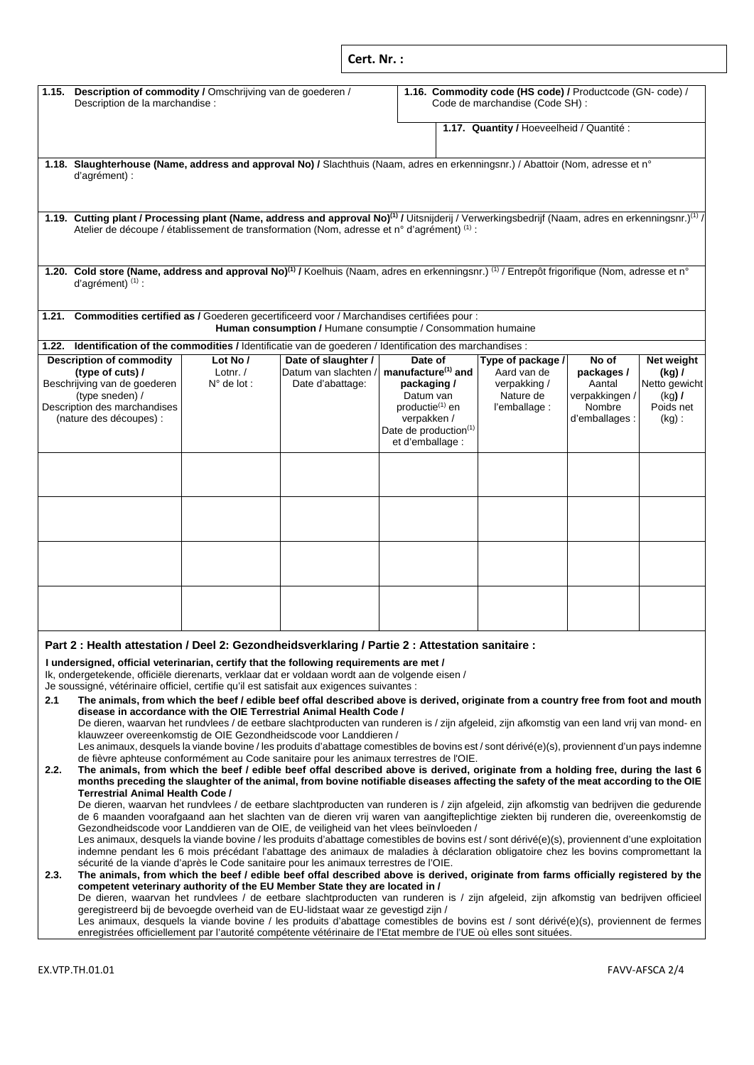|                                                                                                                                                                                                                                                                                                                                                                                                                                                                                                                                                                                                                                                                                                           |                                                 | Cert. Nr.:                                                                                   |                                                                                                                                                                              |                                                                                |                                                                            |                                                                              |  |  |  |
|-----------------------------------------------------------------------------------------------------------------------------------------------------------------------------------------------------------------------------------------------------------------------------------------------------------------------------------------------------------------------------------------------------------------------------------------------------------------------------------------------------------------------------------------------------------------------------------------------------------------------------------------------------------------------------------------------------------|-------------------------------------------------|----------------------------------------------------------------------------------------------|------------------------------------------------------------------------------------------------------------------------------------------------------------------------------|--------------------------------------------------------------------------------|----------------------------------------------------------------------------|------------------------------------------------------------------------------|--|--|--|
| 1.15. Description of commodity / Omschrijving van de goederen /<br>Description de la marchandise :                                                                                                                                                                                                                                                                                                                                                                                                                                                                                                                                                                                                        |                                                 | 1.16. Commodity code (HS code) / Productcode (GN- code) /<br>Code de marchandise (Code SH) : |                                                                                                                                                                              |                                                                                |                                                                            |                                                                              |  |  |  |
|                                                                                                                                                                                                                                                                                                                                                                                                                                                                                                                                                                                                                                                                                                           |                                                 |                                                                                              |                                                                                                                                                                              | 1.17. Quantity / Hoeveelheid / Quantité :                                      |                                                                            |                                                                              |  |  |  |
| 1.18. Slaughterhouse (Name, address and approval No) / Slachthuis (Naam, adres en erkenningsnr.) / Abattoir (Nom, adresse et n°<br>d'agrément) :                                                                                                                                                                                                                                                                                                                                                                                                                                                                                                                                                          |                                                 |                                                                                              |                                                                                                                                                                              |                                                                                |                                                                            |                                                                              |  |  |  |
| 1.19. Cutting plant / Processing plant (Name, address and approval No) <sup>(1)</sup> / Uitsnijderij / Verwerkingsbedrijf (Naam, adres en erkenningsnr.) <sup>(1)</sup> /<br>Atelier de découpe / établissement de transformation (Nom, adresse et n° d'agrément) (1) :                                                                                                                                                                                                                                                                                                                                                                                                                                   |                                                 |                                                                                              |                                                                                                                                                                              |                                                                                |                                                                            |                                                                              |  |  |  |
| 1.20. Cold store (Name, address and approval No) <sup>(1)</sup> / Koelhuis (Naam, adres en erkenningsnr.) <sup>(1)</sup> / Entrepôt frigorifique (Nom, adresse et n°<br>d'agrément) $(1)$ :                                                                                                                                                                                                                                                                                                                                                                                                                                                                                                               |                                                 |                                                                                              |                                                                                                                                                                              |                                                                                |                                                                            |                                                                              |  |  |  |
| 1.21. Commodities certified as / Goederen gecertificeerd voor / Marchandises certifiées pour :                                                                                                                                                                                                                                                                                                                                                                                                                                                                                                                                                                                                            |                                                 | Human consumption / Humane consumptie / Consommation humaine                                 |                                                                                                                                                                              |                                                                                |                                                                            |                                                                              |  |  |  |
| 1.22. Identification of the commodities / Identificatie van de goederen / Identification des marchandises :                                                                                                                                                                                                                                                                                                                                                                                                                                                                                                                                                                                               |                                                 |                                                                                              |                                                                                                                                                                              |                                                                                |                                                                            |                                                                              |  |  |  |
| <b>Description of commodity</b><br>(type of cuts) /<br>Beschrijving van de goederen<br>(type sneden) /<br>Description des marchandises<br>(nature des découpes) :                                                                                                                                                                                                                                                                                                                                                                                                                                                                                                                                         | Lot $No/$<br>Lotnr. $/$<br>$N^{\circ}$ de lot : | Date of slaughter /<br>Datum van slachten /<br>Date d'abattage:                              | Date of<br>manufacture <sup>(1)</sup> and<br>packaging /<br>Datum van<br>productie <sup>(1)</sup> en<br>verpakken /<br>Date de production <sup>(1)</sup><br>et d'emballage : | Type of package /<br>Aard van de<br>verpakking /<br>Nature de<br>l'emballage : | No of<br>packages/<br>Aantal<br>verpakkingen /<br>Nombre<br>d'emballages : | Net weight<br>$(kg)$ /<br>Netto gewicht<br>$(kq)$ /<br>Poids net<br>$(kg)$ : |  |  |  |
|                                                                                                                                                                                                                                                                                                                                                                                                                                                                                                                                                                                                                                                                                                           |                                                 |                                                                                              |                                                                                                                                                                              |                                                                                |                                                                            |                                                                              |  |  |  |
| Part 2 : Health attestation / Deel 2: Gezondheidsverklaring / Partie 2 : Attestation sanitaire :                                                                                                                                                                                                                                                                                                                                                                                                                                                                                                                                                                                                          |                                                 |                                                                                              |                                                                                                                                                                              |                                                                                |                                                                            |                                                                              |  |  |  |
| I undersigned, official veterinarian, certify that the following requirements are met /<br>Ik, ondergetekende, officiële dierenarts, verklaar dat er voldaan wordt aan de volgende eisen /<br>Je soussigné, vétérinaire officiel, certifie qu'il est satisfait aux exigences suivantes :<br>2.1<br>The animals, from which the beef / edible beef offal described above is derived, originate from a country free from foot and mouth                                                                                                                                                                                                                                                                     |                                                 |                                                                                              |                                                                                                                                                                              |                                                                                |                                                                            |                                                                              |  |  |  |
| disease in accordance with the OIE Terrestrial Animal Health Code /<br>De dieren, waarvan het rundvlees / de eetbare slachtproducten van runderen is / zijn afgeleid, zijn afkomstig van een land vrij van mond- en<br>klauwzeer overeenkomstig de OIE Gezondheidscode voor Landdieren /<br>Les animaux, desquels la viande bovine / les produits d'abattage comestibles de bovins est / sont dérivé(e)(s), proviennent d'un pays indemne<br>de fièvre aphteuse conformément au Code sanitaire pour les animaux terrestres de l'OIE.                                                                                                                                                                      |                                                 |                                                                                              |                                                                                                                                                                              |                                                                                |                                                                            |                                                                              |  |  |  |
| The animals, from which the beef / edible beef offal described above is derived, originate from a holding free, during the last 6<br>2.2.<br>months preceding the slaughter of the animal, from bovine notifiable diseases affecting the safety of the meat according to the OIE<br><b>Terrestrial Animal Health Code /</b><br>De dieren, waarvan het rundvlees / de eetbare slachtproducten van runderen is / zijn afgeleid, zijn afkomstig van bedrijven die gedurende<br>de 6 maanden voorafgaand aan het slachten van de dieren vrij waren van aangifteplichtige ziekten bij runderen die, overeenkomstig de<br>Gezondheidscode voor Landdieren van de OIE, de veiligheid van het vlees beïnvloeden / |                                                 |                                                                                              |                                                                                                                                                                              |                                                                                |                                                                            |                                                                              |  |  |  |
| Les animaux, desquels la viande bovine / les produits d'abattage comestibles de bovins est / sont dérivé(e)(s), proviennent d'une exploitation<br>indemne pendant les 6 mois précédant l'abattage des animaux de maladies à déclaration obligatoire chez les bovins compromettant la<br>sécurité de la viande d'après le Code sanitaire pour les animaux terrestres de l'OIE.<br>The animals, from which the beef / edible beef offal described above is derived, originate from farms officially registered by the<br>2.3.                                                                                                                                                                               |                                                 |                                                                                              |                                                                                                                                                                              |                                                                                |                                                                            |                                                                              |  |  |  |
| competent veterinary authority of the EU Member State they are located in /<br>De dieren, waarvan het rundvlees / de eetbare slachtproducten van runderen is / zijn afgeleid, zijn afkomstig van bedrijven officieel<br>geregistreerd bij de bevoegde overheid van de EU-lidstaat waar ze gevestigd zijn /<br>Les animaux, desquels la viande bovine / les produits d'abattage comestibles de bovins est / sont dérivé(e)(s), proviennent de fermes<br>enregistrées officiellement par l'autorité compétente vétérinaire de l'Etat membre de l'UE où elles sont situées.                                                                                                                                  |                                                 |                                                                                              |                                                                                                                                                                              |                                                                                |                                                                            |                                                                              |  |  |  |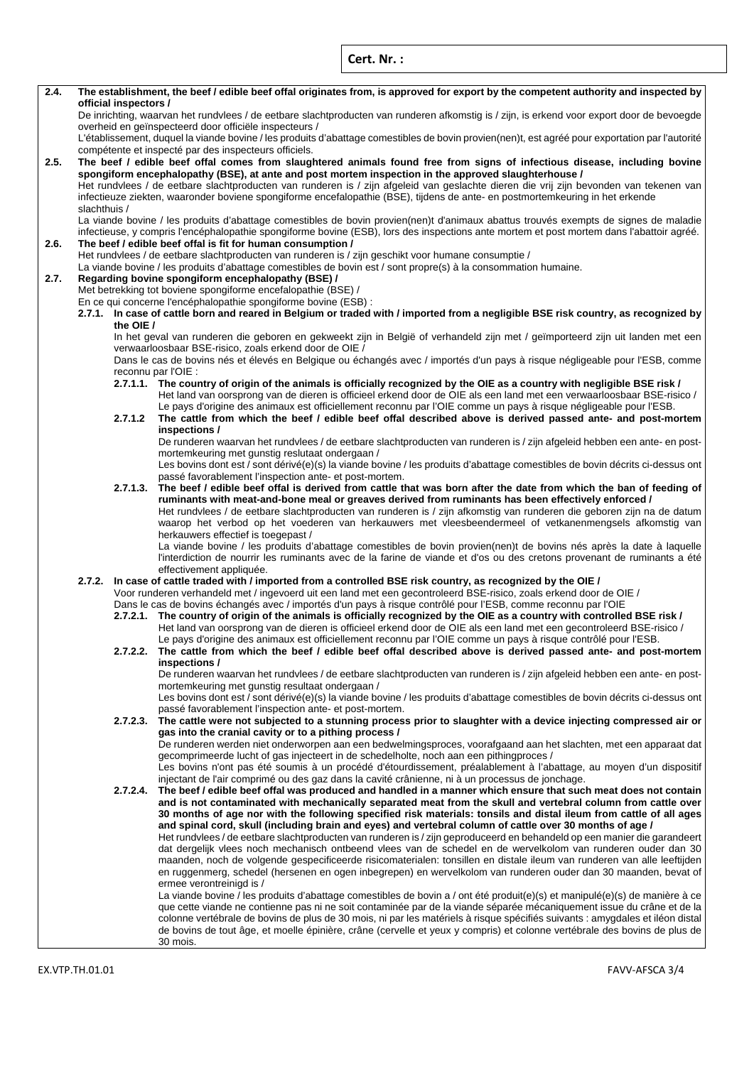**Cert. Nr. :**

| 2.4. |                                                                                                                                                                                                                                                                                   | official inspectors / | The establishment, the beef / edible beef offal originates from, is approved for export by the competent authority and inspected by                                                                                                            |  |  |  |
|------|-----------------------------------------------------------------------------------------------------------------------------------------------------------------------------------------------------------------------------------------------------------------------------------|-----------------------|------------------------------------------------------------------------------------------------------------------------------------------------------------------------------------------------------------------------------------------------|--|--|--|
|      |                                                                                                                                                                                                                                                                                   |                       | De inrichting, waarvan het rundvlees / de eetbare slachtproducten van runderen afkomstig is / zijn, is erkend voor export door de bevoegde                                                                                                     |  |  |  |
|      |                                                                                                                                                                                                                                                                                   |                       | overheid en geïnspecteerd door officiële inspecteurs /                                                                                                                                                                                         |  |  |  |
|      |                                                                                                                                                                                                                                                                                   |                       | L'établissement, duquel la viande bovine / les produits d'abattage comestibles de bovin provien(nen)t, est agréé pour exportation par l'autorité<br>compétente et inspecté par des inspecteurs officiels.                                      |  |  |  |
| 2.5. |                                                                                                                                                                                                                                                                                   |                       | The beef / edible beef offal comes from slaughtered animals found free from signs of infectious disease, including bovine                                                                                                                      |  |  |  |
|      |                                                                                                                                                                                                                                                                                   |                       | spongiform encephalopathy (BSE), at ante and post mortem inspection in the approved slaughterhouse /<br>Het rundvlees / de eetbare slachtproducten van runderen is / zijn afgeleid van geslachte dieren die vrij zijn bevonden van tekenen van |  |  |  |
|      |                                                                                                                                                                                                                                                                                   |                       | infectieuze ziekten, waaronder boviene spongiforme encefalopathie (BSE), tijdens de ante- en postmortemkeuring in het erkende                                                                                                                  |  |  |  |
|      | slachthuis /                                                                                                                                                                                                                                                                      |                       |                                                                                                                                                                                                                                                |  |  |  |
|      | La viande bovine / les produits d'abattage comestibles de bovin provien(nen)t d'animaux abattus trouvés exempts de signes de maladie<br>infectieuse, y compris l'encéphalopathie spongiforme bovine (ESB), lors des inspections ante mortem et post mortem dans l'abattoir agréé. |                       |                                                                                                                                                                                                                                                |  |  |  |
| 2.6. |                                                                                                                                                                                                                                                                                   |                       | The beef / edible beef offal is fit for human consumption /                                                                                                                                                                                    |  |  |  |
|      | Het rundvlees / de eetbare slachtproducten van runderen is / zijn geschikt voor humane consumptie /                                                                                                                                                                               |                       |                                                                                                                                                                                                                                                |  |  |  |
| 2.7. | La viande bovine / les produits d'abattage comestibles de bovin est / sont propre(s) à la consommation humaine.<br>Regarding bovine spongiform encephalopathy (BSE) /                                                                                                             |                       |                                                                                                                                                                                                                                                |  |  |  |
|      |                                                                                                                                                                                                                                                                                   |                       | Met betrekking tot boviene spongiforme encefalopathie (BSE) /                                                                                                                                                                                  |  |  |  |
|      |                                                                                                                                                                                                                                                                                   |                       | En ce qui concerne l'encéphalopathie spongiforme bovine (ESB) :                                                                                                                                                                                |  |  |  |
|      |                                                                                                                                                                                                                                                                                   |                       | 2.7.1. In case of cattle born and reared in Belgium or traded with / imported from a negligible BSE risk country, as recognized by                                                                                                             |  |  |  |
|      |                                                                                                                                                                                                                                                                                   | the OIE /             | In het geval van runderen die geboren en gekweekt zijn in België of verhandeld zijn met / geïmporteerd zijn uit landen met een                                                                                                                 |  |  |  |
|      |                                                                                                                                                                                                                                                                                   |                       | verwaarloosbaar BSE-risico, zoals erkend door de OIE /                                                                                                                                                                                         |  |  |  |
|      |                                                                                                                                                                                                                                                                                   |                       | Dans le cas de bovins nés et élevés en Belgique ou échangés avec / importés d'un pays à risque négligeable pour l'ESB, comme                                                                                                                   |  |  |  |
|      |                                                                                                                                                                                                                                                                                   |                       | reconnu par l'OIE :<br>2.7.1.1. The country of origin of the animals is officially recognized by the OIE as a country with negligible BSE risk /                                                                                               |  |  |  |
|      |                                                                                                                                                                                                                                                                                   |                       | Het land van oorsprong van de dieren is officieel erkend door de OIE als een land met een verwaarloosbaar BSE-risico /                                                                                                                         |  |  |  |
|      |                                                                                                                                                                                                                                                                                   |                       | Le pays d'origine des animaux est officiellement reconnu par l'OIE comme un pays à risque négligeable pour l'ESB.                                                                                                                              |  |  |  |
|      |                                                                                                                                                                                                                                                                                   | 2.7.1.2               | The cattle from which the beef / edible beef offal described above is derived passed ante- and post-mortem                                                                                                                                     |  |  |  |
|      |                                                                                                                                                                                                                                                                                   |                       | inspections /<br>De runderen waarvan het rundvlees / de eetbare slachtproducten van runderen is / zijn afgeleid hebben een ante- en post-                                                                                                      |  |  |  |
|      |                                                                                                                                                                                                                                                                                   |                       | mortemkeuring met gunstig reslutaat ondergaan /                                                                                                                                                                                                |  |  |  |
|      |                                                                                                                                                                                                                                                                                   |                       | Les bovins dont est / sont dérivé(e)(s) la viande bovine / les produits d'abattage comestibles de bovin décrits ci-dessus ont                                                                                                                  |  |  |  |
|      |                                                                                                                                                                                                                                                                                   |                       | passé favorablement l'inspection ante- et post-mortem.<br>2.7.1.3. The beef / edible beef offal is derived from cattle that was born after the date from which the ban of feeding of                                                           |  |  |  |
|      |                                                                                                                                                                                                                                                                                   |                       | ruminants with meat-and-bone meal or greaves derived from ruminants has been effectively enforced /                                                                                                                                            |  |  |  |
|      |                                                                                                                                                                                                                                                                                   |                       | Het rundvlees / de eetbare slachtproducten van runderen is / zijn afkomstig van runderen die geboren zijn na de datum                                                                                                                          |  |  |  |
|      |                                                                                                                                                                                                                                                                                   |                       | waarop het verbod op het voederen van herkauwers met vleesbeendermeel of vetkanenmengsels afkomstig van<br>herkauwers effectief is toegepast /                                                                                                 |  |  |  |
|      |                                                                                                                                                                                                                                                                                   |                       | La viande bovine / les produits d'abattage comestibles de bovin provien(nen)t de bovins nés après la date à laquelle                                                                                                                           |  |  |  |
|      |                                                                                                                                                                                                                                                                                   |                       | l'interdiction de nourrir les ruminants avec de la farine de viande et d'os ou des cretons provenant de ruminants a été                                                                                                                        |  |  |  |
|      |                                                                                                                                                                                                                                                                                   |                       | effectivement appliquée.<br>2.7.2. In case of cattle traded with / imported from a controlled BSE risk country, as recognized by the OIE /                                                                                                     |  |  |  |
|      |                                                                                                                                                                                                                                                                                   |                       | Voor runderen verhandeld met / ingevoerd uit een land met een gecontroleerd BSE-risico, zoals erkend door de OIE /                                                                                                                             |  |  |  |
|      |                                                                                                                                                                                                                                                                                   |                       | Dans le cas de bovins échangés avec / importés d'un pays à risque contrôlé pour l'ESB, comme reconnu par l'OIE                                                                                                                                 |  |  |  |
|      |                                                                                                                                                                                                                                                                                   |                       | 2.7.2.1. The country of origin of the animals is officially recognized by the OIE as a country with controlled BSE risk /                                                                                                                      |  |  |  |
|      |                                                                                                                                                                                                                                                                                   |                       | Het land van oorsprong van de dieren is officieel erkend door de OIE als een land met een gecontroleerd BSE-risico /<br>Le pays d'origine des animaux est officiellement reconnu par l'OIE comme un pays à risque contrôlé pour l'ESB.         |  |  |  |
|      |                                                                                                                                                                                                                                                                                   |                       | 2.7.2.2. The cattle from which the beef / edible beef offal described above is derived passed ante- and post-mortem                                                                                                                            |  |  |  |
|      |                                                                                                                                                                                                                                                                                   |                       | inspections /                                                                                                                                                                                                                                  |  |  |  |
|      |                                                                                                                                                                                                                                                                                   |                       | De runderen waarvan het rundvlees / de eetbare slachtproducten van runderen is / zijn afgeleid hebben een ante- en post-<br>mortemkeuring met gunstig resultaat ondergaan /                                                                    |  |  |  |
|      |                                                                                                                                                                                                                                                                                   |                       | Les bovins dont est / sont dérivé(e)(s) la viande bovine / les produits d'abattage comestibles de bovin décrits ci-dessus ont                                                                                                                  |  |  |  |
|      |                                                                                                                                                                                                                                                                                   |                       | passé favorablement l'inspection ante- et post-mortem.                                                                                                                                                                                         |  |  |  |
|      |                                                                                                                                                                                                                                                                                   | 2.7.2.3.              | The cattle were not subjected to a stunning process prior to slaughter with a device injecting compressed air or<br>gas into the cranial cavity or to a pithing process /                                                                      |  |  |  |
|      |                                                                                                                                                                                                                                                                                   |                       | De runderen werden niet onderworpen aan een bedwelmingsproces, voorafgaand aan het slachten, met een apparaat dat                                                                                                                              |  |  |  |
|      |                                                                                                                                                                                                                                                                                   |                       | gecomprimeerde lucht of gas injecteert in de schedelholte, noch aan een pithingproces /                                                                                                                                                        |  |  |  |
|      |                                                                                                                                                                                                                                                                                   |                       | Les bovins n'ont pas été soumis à un procédé d'étourdissement, préalablement à l'abattage, au moyen d'un dispositif                                                                                                                            |  |  |  |
|      |                                                                                                                                                                                                                                                                                   | 2.7.2.4.              | injectant de l'air comprimé ou des gaz dans la cavité crânienne, ni à un processus de jonchage.<br>The beef / edible beef offal was produced and handled in a manner which ensure that such meat does not contain                              |  |  |  |
|      |                                                                                                                                                                                                                                                                                   |                       | and is not contaminated with mechanically separated meat from the skull and vertebral column from cattle over                                                                                                                                  |  |  |  |
|      |                                                                                                                                                                                                                                                                                   |                       | 30 months of age nor with the following specified risk materials: tonsils and distal ileum from cattle of all ages                                                                                                                             |  |  |  |
|      |                                                                                                                                                                                                                                                                                   |                       | and spinal cord, skull (including brain and eyes) and vertebral column of cattle over 30 months of age /<br>Het rundvlees / de eetbare slachtproducten van runderen is / zijn geproduceerd en behandeld op een manier die garandeert           |  |  |  |
|      |                                                                                                                                                                                                                                                                                   |                       | dat dergelijk vlees noch mechanisch ontbeend vlees van de schedel en de wervelkolom van runderen ouder dan 30                                                                                                                                  |  |  |  |
|      |                                                                                                                                                                                                                                                                                   |                       | maanden, noch de volgende gespecificeerde risicomaterialen: tonsillen en distale ileum van runderen van alle leeftijden                                                                                                                        |  |  |  |
|      |                                                                                                                                                                                                                                                                                   |                       | en ruggenmerg, schedel (hersenen en ogen inbegrepen) en wervelkolom van runderen ouder dan 30 maanden, bevat of                                                                                                                                |  |  |  |
|      |                                                                                                                                                                                                                                                                                   |                       | ermee verontreinigd is /<br>La viande bovine / les produits d'abattage comestibles de bovin a / ont été produit(e)(s) et manipulé(e)(s) de manière à ce                                                                                        |  |  |  |
|      |                                                                                                                                                                                                                                                                                   |                       | que cette viande ne contienne pas ni ne soit contaminée par de la viande séparée mécaniquement issue du crâne et de la                                                                                                                         |  |  |  |
|      |                                                                                                                                                                                                                                                                                   |                       | colonne vertébrale de bovins de plus de 30 mois, ni par les matériels à risque spécifiés suivants : amygdales et iléon distal                                                                                                                  |  |  |  |
|      |                                                                                                                                                                                                                                                                                   |                       | de bovins de tout âge, et moelle épinière, crâne (cervelle et yeux y compris) et colonne vertébrale des bovins de plus de                                                                                                                      |  |  |  |
|      |                                                                                                                                                                                                                                                                                   |                       | 30 mois.                                                                                                                                                                                                                                       |  |  |  |

EX.VTP.TH.01.01 FAVV‐AFSCA 3/4